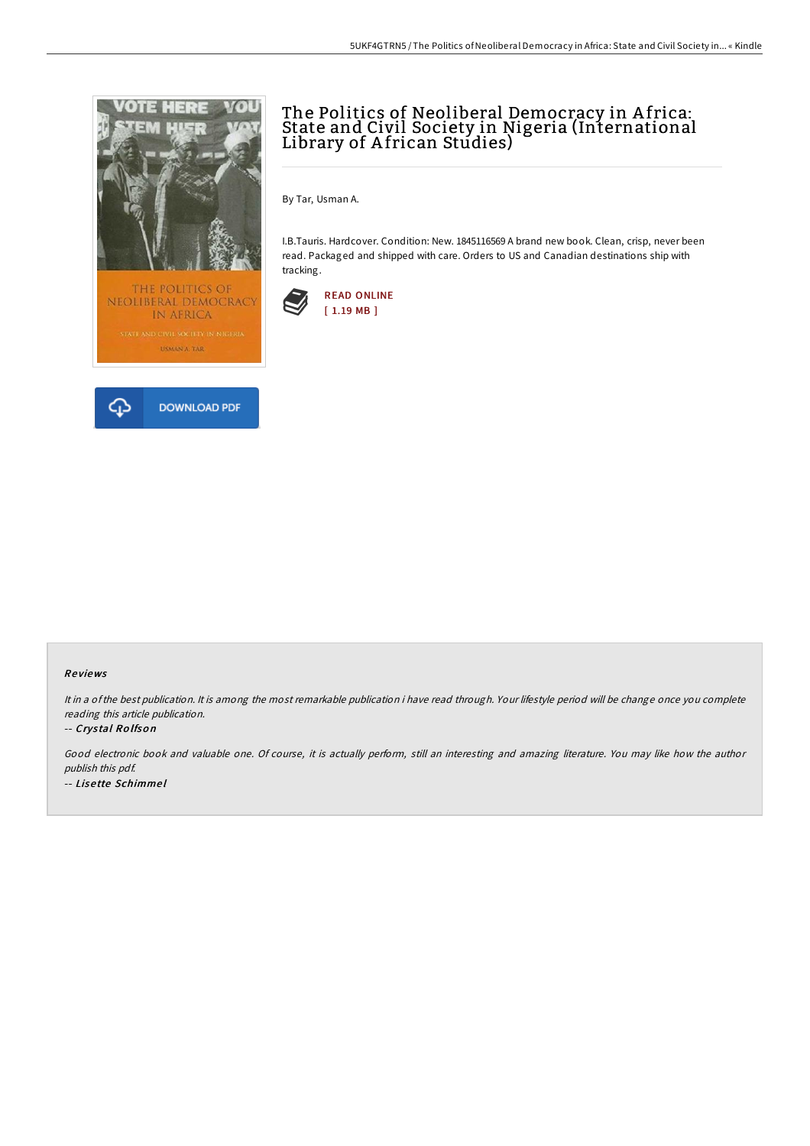

# The Politics of Neoliberal Democracy in A frica: State and Civil Society in Nigeria (International Library of A frican Studies)

By Tar, Usman A.

I.B.Tauris. Hardcover. Condition: New. 1845116569 A brand new book. Clean, crisp, never been read. Packaged and shipped with care. Orders to US and Canadian destinations ship with tracking.



#### Re views

It in <sup>a</sup> ofthe best publication. It is among the most remarkable publication i have read through. Your lifestyle period will be change once you complete reading this article publication.

#### -- Crys tal Ro lfso <sup>n</sup>

Good electronic book and valuable one. Of course, it is actually perform, still an interesting and amazing literature. You may like how the author publish this pdf. -- Lise tte Schimme l